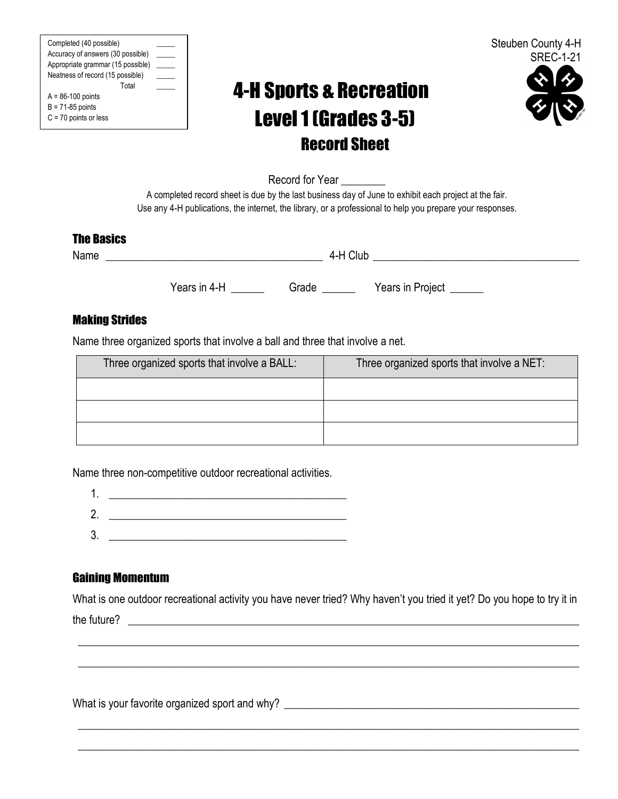Completed (40 possible) \_\_\_\_\_ Accuracy of answers (30 possible) \_\_\_\_\_ Appropriate grammar (15 possible) \_ Neatness of record (15 possible) Total \_\_\_\_\_  $A = 86-100$  points  $B = 71-85$  points C = 70 points or less



# 4-H Sports & Recreation Level1 (Grades 3-5) Record Sheet



Record for Year

A completed record sheet is due by the last business day of June to exhibit each project at the fair. Use any 4-H publications, the internet, the library, or a professional to help you prepare your responses.

### The Basics

Name  $\blacksquare$   $\blacksquare$   $\blacksquare$   $\blacksquare$   $\blacksquare$   $\blacksquare$   $\blacksquare$   $\blacksquare$   $\blacksquare$   $\blacksquare$   $\blacksquare$   $\blacksquare$   $\blacksquare$   $\blacksquare$   $\blacksquare$   $\blacksquare$   $\blacksquare$   $\blacksquare$   $\blacksquare$   $\blacksquare$   $\blacksquare$   $\blacksquare$   $\blacksquare$   $\blacksquare$   $\blacksquare$   $\blacksquare$   $\blacksquare$   $\blacksquare$   $\blacksquare$   $\blacksquare$   $\blacksquare$ 

Years in 4-H Grade Nears in Project

## Making Strides

Name three organized sports that involve a ball and three that involve a net.

| Three organized sports that involve a BALL: | Three organized sports that involve a NET: |
|---------------------------------------------|--------------------------------------------|
|                                             |                                            |
|                                             |                                            |
|                                             |                                            |

Name three non-competitive outdoor recreational activities.

1. \_\_\_\_\_\_\_\_\_\_\_\_\_\_\_\_\_\_\_\_\_\_\_\_\_\_\_\_\_\_\_\_\_\_\_\_\_\_\_\_\_\_\_

2. \_\_\_\_\_\_\_\_\_\_\_\_\_\_\_\_\_\_\_\_\_\_\_\_\_\_\_\_\_\_\_\_\_\_\_\_\_\_\_\_\_\_\_ 3. \_\_\_\_\_\_\_\_\_\_\_\_\_\_\_\_\_\_\_\_\_\_\_\_\_\_\_\_\_\_\_\_\_\_\_\_\_\_\_\_\_\_\_

# Gaining Momentum

What is one outdoor recreational activity you have never tried? Why haven't you tried it yet? Do you hope to try it in the future? \_\_\_\_\_\_\_\_\_\_\_\_\_\_\_\_\_\_\_\_\_\_\_\_\_\_\_\_\_\_\_\_\_\_\_\_\_\_\_\_\_\_\_\_\_\_\_\_\_\_\_\_\_\_\_\_\_\_\_\_\_\_\_\_\_\_\_\_\_\_\_\_\_\_\_\_\_\_\_\_\_

\_\_\_\_\_\_\_\_\_\_\_\_\_\_\_\_\_\_\_\_\_\_\_\_\_\_\_\_\_\_\_\_\_\_\_\_\_\_\_\_\_\_\_\_\_\_\_\_\_\_\_\_\_\_\_\_\_\_\_\_\_\_\_\_\_\_\_\_\_\_\_\_\_\_\_\_\_\_\_\_\_\_\_\_\_\_\_\_\_\_

\_\_\_\_\_\_\_\_\_\_\_\_\_\_\_\_\_\_\_\_\_\_\_\_\_\_\_\_\_\_\_\_\_\_\_\_\_\_\_\_\_\_\_\_\_\_\_\_\_\_\_\_\_\_\_\_\_\_\_\_\_\_\_\_\_\_\_\_\_\_\_\_\_\_\_\_\_\_\_\_\_\_\_\_\_\_\_\_\_\_

\_\_\_\_\_\_\_\_\_\_\_\_\_\_\_\_\_\_\_\_\_\_\_\_\_\_\_\_\_\_\_\_\_\_\_\_\_\_\_\_\_\_\_\_\_\_\_\_\_\_\_\_\_\_\_\_\_\_\_\_\_\_\_\_\_\_\_\_\_\_\_\_\_\_\_\_\_\_\_\_\_\_\_\_\_\_\_\_\_\_

\_\_\_\_\_\_\_\_\_\_\_\_\_\_\_\_\_\_\_\_\_\_\_\_\_\_\_\_\_\_\_\_\_\_\_\_\_\_\_\_\_\_\_\_\_\_\_\_\_\_\_\_\_\_\_\_\_\_\_\_\_\_\_\_\_\_\_\_\_\_\_\_\_\_\_\_\_\_\_\_\_\_\_\_\_\_\_\_\_\_

What is your favorite organized sport and why? \_\_\_\_\_\_\_\_\_\_\_\_\_\_\_\_\_\_\_\_\_\_\_\_\_\_\_\_\_\_\_\_\_\_\_\_\_\_\_\_\_\_\_\_\_\_\_\_\_\_\_\_\_